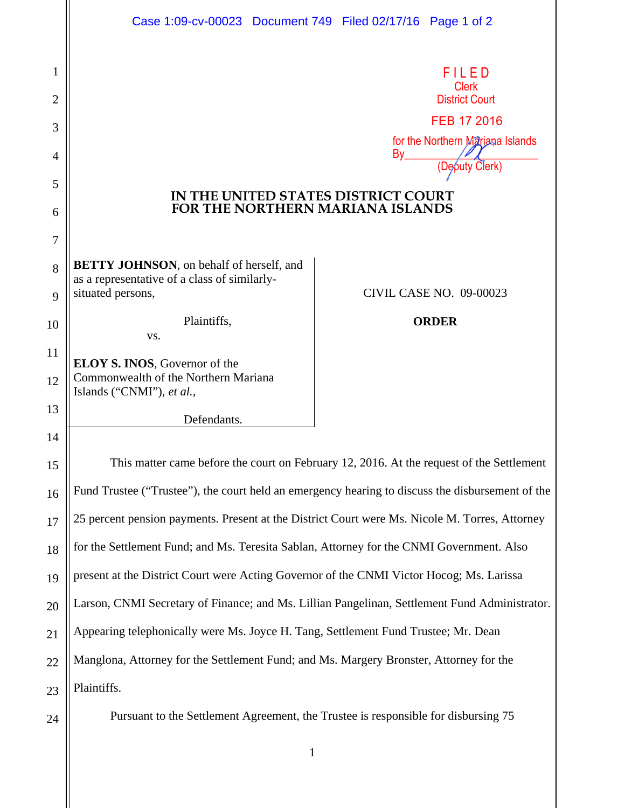|    | Case 1:09-cv-00023 Document 749 Filed 02/17/16 Page 1 of 2                                       |                                |    |                                      |  |
|----|--------------------------------------------------------------------------------------------------|--------------------------------|----|--------------------------------------|--|
| 1  |                                                                                                  |                                |    | FILED<br><b>Clerk</b>                |  |
| 2  |                                                                                                  |                                |    | <b>District Court</b><br>FEB 17 2016 |  |
| 3  |                                                                                                  |                                |    | for the Northern Mariana Islands     |  |
| 4  |                                                                                                  |                                | By |                                      |  |
| 5  | IN THE UNITED STATES DISTRICT COURT                                                              |                                |    |                                      |  |
| 6  | <b>FOR THE NORTHERN MARIANA ISLANDS</b>                                                          |                                |    |                                      |  |
| 7  |                                                                                                  |                                |    |                                      |  |
| 8  | <b>BETTY JOHNSON</b> , on behalf of herself, and<br>as a representative of a class of similarly- |                                |    |                                      |  |
| 9  | situated persons,                                                                                | <b>CIVIL CASE NO. 09-00023</b> |    |                                      |  |
| 10 | Plaintiffs,<br>VS.                                                                               |                                |    | <b>ORDER</b>                         |  |
| 11 | <b>ELOY S. INOS, Governor of the</b>                                                             |                                |    |                                      |  |
| 12 | Commonwealth of the Northern Mariana<br>Islands ("CNMI"), et al.,                                |                                |    |                                      |  |
| 13 | Defendants.                                                                                      |                                |    |                                      |  |
| 14 |                                                                                                  |                                |    |                                      |  |
| 15 | This matter came before the court on February 12, 2016. At the request of the Settlement         |                                |    |                                      |  |
| 16 | Fund Trustee ("Trustee"), the court held an emergency hearing to discuss the disbursement of the |                                |    |                                      |  |
| 17 | 25 percent pension payments. Present at the District Court were Ms. Nicole M. Torres, Attorney   |                                |    |                                      |  |
| 18 | for the Settlement Fund; and Ms. Teresita Sablan, Attorney for the CNMI Government. Also         |                                |    |                                      |  |
| 19 | present at the District Court were Acting Governor of the CNMI Victor Hocog; Ms. Larissa         |                                |    |                                      |  |
| 20 | Larson, CNMI Secretary of Finance; and Ms. Lillian Pangelinan, Settlement Fund Administrator.    |                                |    |                                      |  |
| 21 | Appearing telephonically were Ms. Joyce H. Tang, Settlement Fund Trustee; Mr. Dean               |                                |    |                                      |  |
| 22 | Manglona, Attorney for the Settlement Fund; and Ms. Margery Bronster, Attorney for the           |                                |    |                                      |  |
| 23 | Plaintiffs.                                                                                      |                                |    |                                      |  |
| 24 | Pursuant to the Settlement Agreement, the Trustee is responsible for disbursing 75               |                                |    |                                      |  |

1